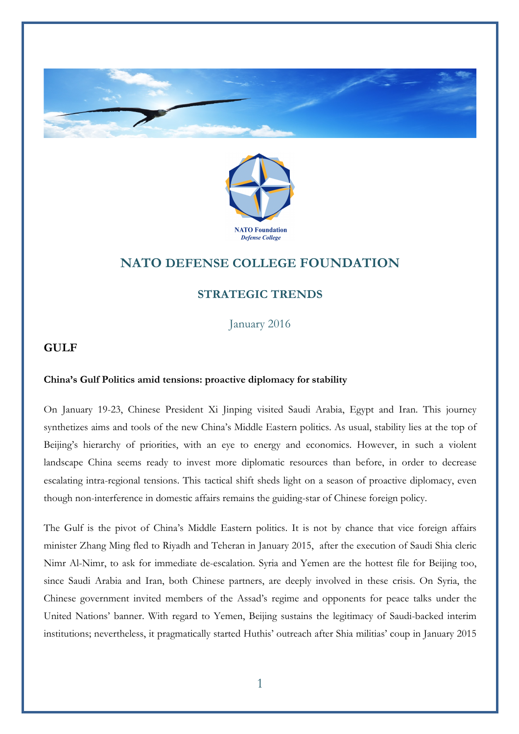



# **NATO DEFENSE COLLEGE FOUNDATION**

## **STRATEGIC TRENDS**

January 2016

## **GULF**

### **China's Gulf Politics amid tensions: proactive diplomacy for stability**

On January 19-23, Chinese President Xi Jinping visited Saudi Arabia, Egypt and Iran. This journey synthetizes aims and tools of the new China's Middle Eastern politics. As usual, stability lies at the top of Beijing's hierarchy of priorities, with an eye to energy and economics. However, in such a violent landscape China seems ready to invest more diplomatic resources than before, in order to decrease escalating intra-regional tensions. This tactical shift sheds light on a season of proactive diplomacy, even though non-interference in domestic affairs remains the guiding-star of Chinese foreign policy.

The Gulf is the pivot of China's Middle Eastern politics. It is not by chance that vice foreign affairs minister Zhang Ming fled to Riyadh and Teheran in January 2015, after the execution of Saudi Shia cleric Nimr Al-Nimr, to ask for immediate de-escalation. Syria and Yemen are the hottest file for Beijing too, since Saudi Arabia and Iran, both Chinese partners, are deeply involved in these crisis. On Syria, the Chinese government invited members of the Assad's regime and opponents for peace talks under the United Nations' banner. With regard to Yemen, Beijing sustains the legitimacy of Saudi-backed interim institutions; nevertheless, it pragmatically started Huthis' outreach after Shia militias' coup in January 2015